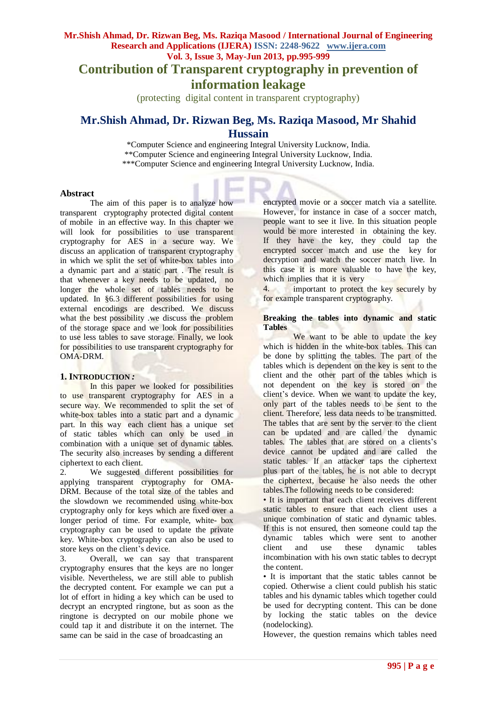**Contribution of Transparent cryptography in prevention of** 

# **information leakage**

(protecting digital content in transparent cryptography)

# **Mr.Shish Ahmad, Dr. Rizwan Beg, Ms. Raziqa Masood, Mr Shahid Hussain**

\*Computer Science and engineering Integral University Lucknow, India. \*\*Computer Science and engineering Integral University Lucknow, India. \*\*\*Computer Science and engineering Integral University Lucknow, India.

## **Abstract**

The aim of this paper is to analyze how transparent cryptography protected digital content of mobile in an effective way. In this chapter we will look for possibilities to use transparent cryptography for AES in a secure way. We discuss an application of transparent cryptography in which we split the set of white-box tables into a dynamic part and a static part . The result is that whenever a key needs to be updated, no longer the whole set of tables needs to be updated. In §6.3 different possibilities for using external encodings are described. We discuss what the best possibility .we discuss the problem of the storage space and we look for possibilities to use less tables to save storage. Finally, we look for possibilities to use transparent cryptography for OMA-DRM.

# **1. INTRODUCTION** *:*

In this paper we looked for possibilities to use transparent cryptography for AES in a secure way. We recommended to split the set of white-box tables into a static part and a dynamic part. In this way each client has a unique set of static tables which can only be used in combination with a unique set of dynamic tables. The security also increases by sending a different ciphertext to each client.

2. We suggested different possibilities for applying transparent cryptography for OMA-DRM. Because of the total size of the tables and the slowdown we recommended using white-box cryptography only for keys which are fixed over a longer period of time. For example, white- box cryptography can be used to update the private key. White-box cryptography can also be used to store keys on the client's device.

3. Overall, we can say that transparent cryptography ensures that the keys are no longer visible. Nevertheless, we are still able to publish the decrypted content. For example we can put a lot of effort in hiding a key which can be used to decrypt an encrypted ringtone, but as soon as the ringtone is decrypted on our mobile phone we could tap it and distribute it on the internet. The same can be said in the case of broadcasting an

encrypted movie or a soccer match via a satellite. However, for instance in case of a soccer match, people want to see it live. In this situation people would be more interested in obtaining the key. If they have the key, they could tap the encrypted soccer match and use the key for decryption and watch the soccer match live. In this case it is more valuable to have the key, which implies that it is very

4. **important to protect the key securely by** for example transparent cryptography.

#### **Breaking the tables into dynamic and static Tables**

We want to be able to update the key which is hidden in the white-box tables. This can be done by splitting the tables. The part of the tables which is dependent on the key is sent to the client and the other part of the tables which is not dependent on the key is stored on the client's device. When we want to update the key, only part of the tables needs to be sent to the client. Therefore, less data needs to be transmitted. The tables that are sent by the server to the client can be updated and are called the dynamic tables. The tables that are stored on a clients's device cannot be updated and are called the static tables. If an attacker taps the ciphertext plus part of the tables, he is not able to decrypt the ciphertext, because he also needs the other tables.The following needs to be considered:

• It is important that each client receives different static tables to ensure that each client uses a unique combination of static and dynamic tables. If this is not ensured, then someone could tap the dynamic tables which were sent to another client and use these dynamic tables incombination with his own static tables to decrypt the content.

• It is important that the static tables cannot be copied. Otherwise a client could publish his static tables and his dynamic tables which together could be used for decrypting content. This can be done by locking the static tables on the device (nodelocking).

However, the question remains which tables need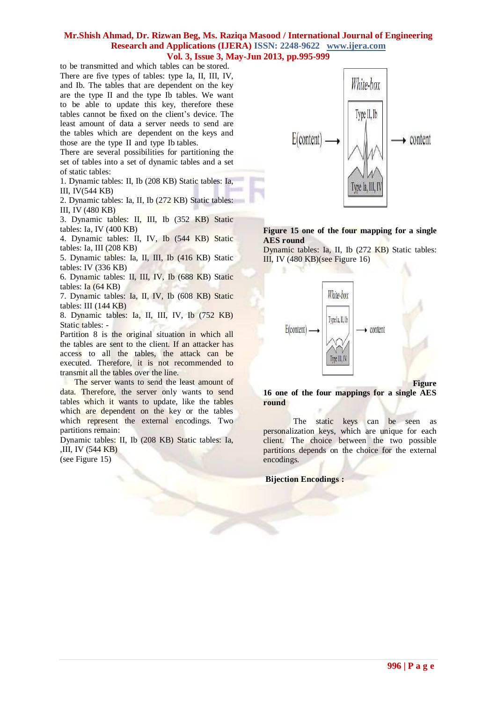to be transmitted and which tables can be stored. There are five types of tables: type Ia, II, III, IV, and Ib. The tables that are dependent on the key are the type II and the type Ib tables. We want to be able to update this key, therefore these tables cannot be fixed on the client's device. The least amount of data a server needs to send are the tables which are dependent on the keys and those are the type II and type Ib tables.

There are several possibilities for partitioning the set of tables into a set of dynamic tables and a set of static tables:

1. Dynamic tables: II, Ib (208 KB) Static tables: Ia, III, IV(544 KB)

2. Dynamic tables: Ia, II, Ib (272 KB) Static tables: III, IV (480 KB)

3. Dynamic tables: II, III, Ib (352 KB) Static tables: Ia, IV (400 KB)

4. Dynamic tables: II, IV, Ib (544 KB) Static tables: Ia, III (208 KB)

5. Dynamic tables: Ia, II, III, Ib (416 KB) Static tables: IV (336 KB)

6. Dynamic tables: II, III, IV, Ib (688 KB) Static tables:  $Ia$  (64 KB)

7. Dynamic tables: Ia, II, IV, Ib (608 KB) Static tables: III (144 KB)

8. Dynamic tables: Ia, II, III, IV, Ib (752 KB) Static tables: -

Partition 8 is the original situation in which all the tables are sent to the client. If an attacker has access to all the tables, the attack can be executed. Therefore, it is not recommended to transmit all the tables over the line.

 The server wants to send the least amount of data. Therefore, the server only wants to send tables which it wants to update, like the tables which are dependent on the key or the tables which represent the external encodings. Two partitions remain:

Dynamic tables: II, Ib (208 KB) Static tables: Ia, ,III, IV (544 KB) (see Figure 15)



# **Figure 15 one of the four mapping for a single AES round**

Dynamic tables: Ia, II, Ib (272 KB) Static tables: III, IV (480 KB)(see Figure 16)



**Figure**

**16 one of the four mappings for a single AES round**

The static keys can be seen as personalization keys, which are unique for each client. The choice between the two possible partitions depends on the choice for the external encodings.

**Bijection Encodings :**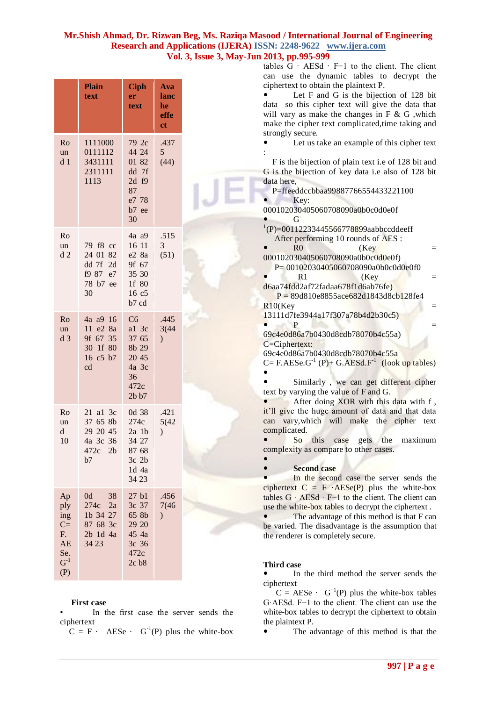| Ro<br>un<br>d <sub>1</sub>                                      | <b>Plain</b><br>text<br>1111000<br>0111112<br>3431111<br>2311111<br>1113 | <b>Ciph</b><br>er<br>text<br>79 2c<br>44 24<br>01 82<br>dd 7f<br>$2d$ f9 | <b>Ava</b><br>lanc<br>he<br>effe<br>ct<br>.437<br>$5\overline{)}$<br>(44) |
|-----------------------------------------------------------------|--------------------------------------------------------------------------|--------------------------------------------------------------------------|---------------------------------------------------------------------------|
|                                                                 |                                                                          | 87<br>e7 78<br>b7 ee<br>30                                               |                                                                           |
| Ro<br>un<br>d2                                                  | 79 f8 cc<br>24 01 82<br>dd 7f 2d<br>f9 87 e7<br>78 b7 ee<br>30           | 4a a9<br>16 11<br>e2 8a<br>9f 67<br>35 30<br>1f 80<br>16 c5<br>b7 cd     | .515<br>3<br>(51)                                                         |
| Ro<br>un<br>d <sub>3</sub>                                      | 4a a9 16<br>11 e2 8a<br>9f 67 35<br>30 1f 80<br>16 c5 b7<br>cd           | C6<br>al 3c<br>37 65<br>8b 29<br>20 45<br>4a 3c<br>36<br>472c<br>2b b7   | .445<br>3(44)<br>$\mathcal{L}$                                            |
| Ro<br>un<br>d<br>10                                             | 21 a1 3c<br>37 65 8b<br>29 20 45<br>4a 3c 36<br>472c<br>2b<br>b7         | 0d 38<br>274c<br>2a 1b<br>34 27<br>87 68<br>3c 2b<br>$1d$ 4a<br>34 23    | .421<br>5(42)<br>$\mathcal{L}$                                            |
| Ap<br>ply<br>ing<br>$C =$<br>F.<br>AE<br>Se.<br>$G^{-1}$<br>(P) | 0d<br>38<br>2a<br>274c<br>1b 34 27<br>87 68 3c<br>2b 1d 4a<br>34 23      | 27 b1<br>3c 37<br>65 8b<br>29 20<br>45 4a<br>3c 36<br>472c<br>2c b8      | .456<br>7(46)<br>$\mathcal{L}$                                            |

#### **First case**

In the first case the server sends the ciphertext

 $C = F \cdot \text{A} \cdot \text{A} \cdot \text{B} \cdot \text{C}^{-1}$ (P) plus the white-box

The advantage of this method is that the

 $C = AESe \cdot G^{-1}(P)$  plus the white-box tables G·AESd. F−1 to the client. The client can use the white-box tables to decrypt the ciphertext to obtain

ciphertext

the plaintext P.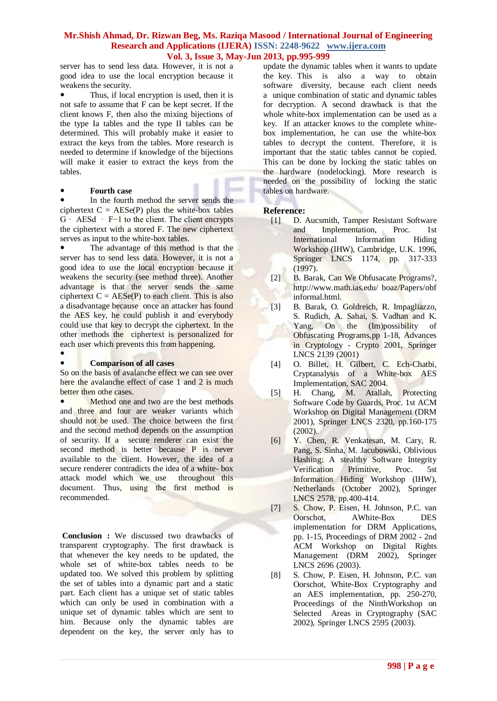server has to send less data. However, it is not a good idea to use the local encryption because it weakens the security.

 Thus, if local encryption is used, then it is not safe to assume that F can be kept secret. If the client knows F, then also the mixing bijections of the type Ia tables and the type II tables can be determined. This will probably make it easier to extract the keys from the tables. More research is needed to determine if knowledge of the bijections will make it easier to extract the keys from the tables.

## **Fourth case**

 In the fourth method the server sends the ciphertext  $C = \text{A} \text{E} \text{S} \text{e}(\text{P})$  plus the white-box tables G · AESd · F−1 to the client. The client encrypts the ciphertext with a stored F. The new ciphertext serves as input to the white-box tables.

 The advantage of this method is that the server has to send less data. However, it is not a good idea to use the local encryption because it weakens the security (see method three). Another advantage is that the server sends the same ciphertext  $C = AESe(P)$  to each client. This is also a disadvantage because once an attacker has found the AES key, he could publish it and everybody could use that key to decrypt the ciphertext. In the other methods the ciphertext is personalized for each user which prevents this from happening.

# $\bullet$

#### **Comparison of all cases**

So on the basis of avalanche effect we can see over here the avalanche effect of case 1 and 2 is much better then othe cases.

 Method one and two are the best methods and three and four are weaker variants which should not be used. The choice between the first and the second method depends on the assumption of security. If a secure renderer can exist the second method is better because P is never available to the client. However, the idea of a secure renderer contradicts the idea of a white- box attack model which we use throughout this document. Thus, using the first method is recommended.

**Conclusion :** We discussed two drawbacks of transparent cryptography. The first drawback is that whenever the key needs to be updated, the whole set of white-box tables needs to be updated too. We solved this problem by splitting the set of tables into a dynamic part and a static part. Each client has a unique set of static tables which can only be used in combination with a unique set of dynamic tables which are sent to him. Because only the dynamic tables are dependent on the key, the server only has to

update the dynamic tables when it wants to update the key. This is also a way to obtain software diversity, because each client needs a unique combination of static and dynamic tables for decryption. A second drawback is that the whole white-box implementation can be used as a key. If an attacker knows to the complete whitebox implementation, he can use the white-box tables to decrypt the content. Therefore, it is important that the static tables cannot be copied. This can be done by locking the static tables on the hardware (nodelocking). More research is needed on the possibility of locking the static tables on hardware.

## **Reference:**

- [1] D. Aucsmith, Tamper Resistant Software and Implementation, Proc. 1st International Information Hiding Workshop (IHW), Cambridge, U.K. 1996, Springer LNCS 1174, pp. 317-333 (1997).
- [2] B. Barak, Can We Obfusacate Programs?, <http://www.math.ias.edu/> boaz/Papers/obf informal.html.
- [3] B. Barak, O. Goldreich, R. Impagliazzo, S. Rudich, A. Sahai, S. Vadhan and K. Yang, On the (Im)possibility of Obfuscating Programs,pp 1-18, Advances in Cryptology - Crypto 2001, Springer LNCS 2139 (2001)
- [4] O. Billet, H. Gilbert, C. Ech-Chatbi, Cryptanalysis of a White-box AES Implementation, SAC 2004.
- [5] H. Chang, M. Atallah, Protecting Software Code by Guards, Proc. 1st ACM Workshop on Digital Management (DRM 2001), Springer LNCS 2320, pp.160-175 (2002).
- [6] Y. Chen, R. Venkatesan, M. Cary, R. Pang, S. Sinha, M. Jacubowski, Oblivious Hashing: A stealthy Software Integrity Verification Primitive, Proc. 5st Information Hiding Workshop (IHW), Netherlands (October 2002), Springer LNCS 2578, pp.400-414.
- [7] S. Chow, P. Eisen, H. Johnson, P.C. van Oorschot, AWhite-Box DES implementation for DRM Applications, pp. 1-15, Proceedings of DRM 2002 - 2nd ACM Workshop on Digital Rights Management (DRM 2002), Springer LNCS 2696 (2003).
- [8] S. Chow, P. Eisen, H. Johnson, P.C. van Oorschot, White-Box Cryptography and an AES implementation, pp. 250-270, Proceedings of the NinthWorkshop on Selected Areas in Cryptography (SAC 2002), Springer LNCS 2595 (2003).